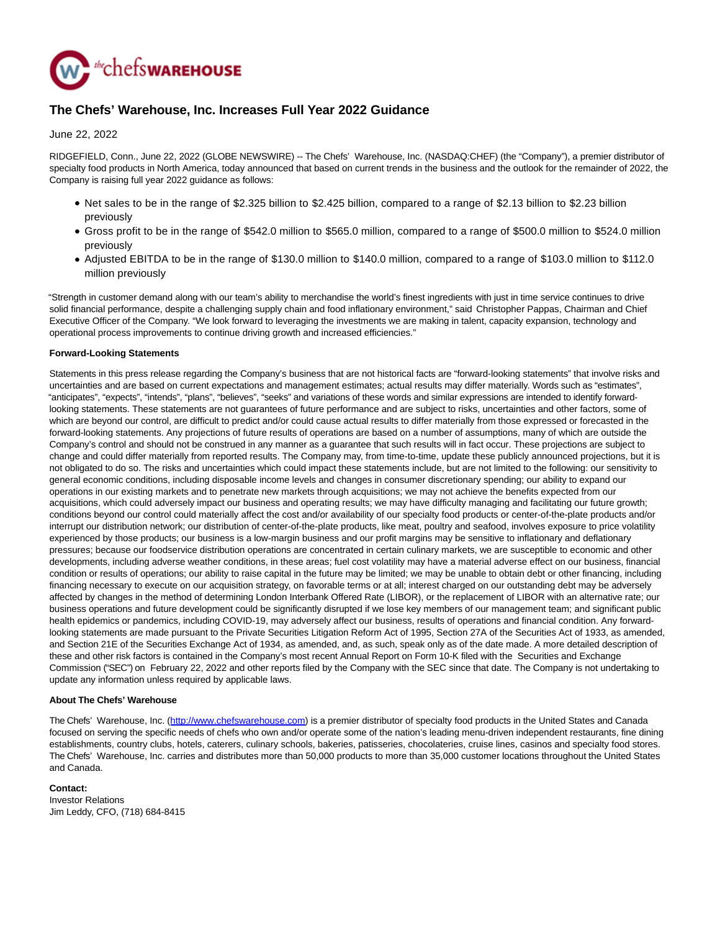

## **The Chefs' Warehouse, Inc. Increases Full Year 2022 Guidance**

June 22, 2022

RIDGEFIELD, Conn., June 22, 2022 (GLOBE NEWSWIRE) -- The Chefs' Warehouse, Inc. (NASDAQ:CHEF) (the "Company"), a premier distributor of specialty food products in North America, today announced that based on current trends in the business and the outlook for the remainder of 2022, the Company is raising full year 2022 guidance as follows:

- Net sales to be in the range of \$2.325 billion to \$2.425 billion, compared to a range of \$2.13 billion to \$2.23 billion previously
- Gross profit to be in the range of \$542.0 million to \$565.0 million, compared to a range of \$500.0 million to \$524.0 million previously
- Adjusted EBITDA to be in the range of \$130.0 million to \$140.0 million, compared to a range of \$103.0 million to \$112.0 million previously

"Strength in customer demand along with our team's ability to merchandise the world's finest ingredients with just in time service continues to drive solid financial performance, despite a challenging supply chain and food inflationary environment," said Christopher Pappas, Chairman and Chief Executive Officer of the Company. "We look forward to leveraging the investments we are making in talent, capacity expansion, technology and operational process improvements to continue driving growth and increased efficiencies."

## **Forward-Looking Statements**

Statements in this press release regarding the Company's business that are not historical facts are "forward-looking statements" that involve risks and uncertainties and are based on current expectations and management estimates; actual results may differ materially. Words such as "estimates", "anticipates", "expects", "intends", "plans", "believes", "seeks" and variations of these words and similar expressions are intended to identify forwardlooking statements. These statements are not guarantees of future performance and are subject to risks, uncertainties and other factors, some of which are beyond our control, are difficult to predict and/or could cause actual results to differ materially from those expressed or forecasted in the forward-looking statements. Any projections of future results of operations are based on a number of assumptions, many of which are outside the Company's control and should not be construed in any manner as a guarantee that such results will in fact occur. These projections are subject to change and could differ materially from reported results. The Company may, from time-to-time, update these publicly announced projections, but it is not obligated to do so. The risks and uncertainties which could impact these statements include, but are not limited to the following: our sensitivity to general economic conditions, including disposable income levels and changes in consumer discretionary spending; our ability to expand our operations in our existing markets and to penetrate new markets through acquisitions; we may not achieve the benefits expected from our acquisitions, which could adversely impact our business and operating results; we may have difficulty managing and facilitating our future growth; conditions beyond our control could materially affect the cost and/or availability of our specialty food products or center-of-the-plate products and/or interrupt our distribution network; our distribution of center-of-the-plate products, like meat, poultry and seafood, involves exposure to price volatility experienced by those products; our business is a low-margin business and our profit margins may be sensitive to inflationary and deflationary pressures; because our foodservice distribution operations are concentrated in certain culinary markets, we are susceptible to economic and other developments, including adverse weather conditions, in these areas; fuel cost volatility may have a material adverse effect on our business, financial condition or results of operations; our ability to raise capital in the future may be limited; we may be unable to obtain debt or other financing, including financing necessary to execute on our acquisition strategy, on favorable terms or at all; interest charged on our outstanding debt may be adversely affected by changes in the method of determining London Interbank Offered Rate (LIBOR), or the replacement of LIBOR with an alternative rate; our business operations and future development could be significantly disrupted if we lose key members of our management team; and significant public health epidemics or pandemics, including COVID-19, may adversely affect our business, results of operations and financial condition. Any forwardlooking statements are made pursuant to the Private Securities Litigation Reform Act of 1995, Section 27A of the Securities Act of 1933, as amended, and Section 21E of the Securities Exchange Act of 1934, as amended, and, as such, speak only as of the date made. A more detailed description of these and other risk factors is contained in the Company's most recent Annual Report on Form 10-K filed with the Securities and Exchange Commission ("SEC") on February 22, 2022 and other reports filed by the Company with the SEC since that date. The Company is not undertaking to update any information unless required by applicable laws.

## **About The Chefs' Warehouse**

The Chefs' Warehouse, Inc. [\(http://www.chefswarehouse.com\)](http://www.chefswarehouse.com/) is a premier distributor of specialty food products in the United States and Canada focused on serving the specific needs of chefs who own and/or operate some of the nation's leading menu-driven independent restaurants, fine dining establishments, country clubs, hotels, caterers, culinary schools, bakeries, patisseries, chocolateries, cruise lines, casinos and specialty food stores. The Chefs' Warehouse, Inc. carries and distributes more than 50,000 products to more than 35,000 customer locations throughout the United States and Canada.

**Contact:** Investor Relations Jim Leddy, CFO, (718) 684-8415